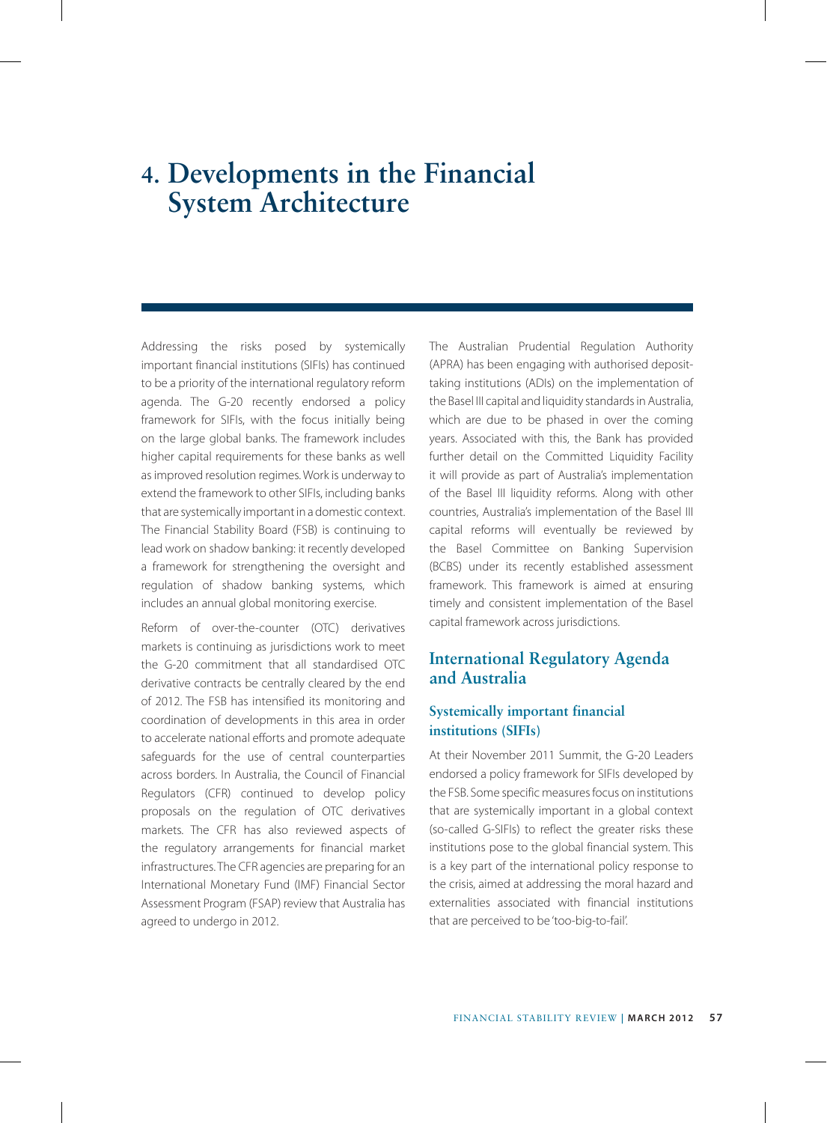# **4. Developments in the Financial System Architecture**

Addressing the risks posed by systemically important financial institutions (SIFIs) has continued to be a priority of the international regulatory reform agenda. The G-20 recently endorsed a policy framework for SIFIs, with the focus initially being on the large global banks. The framework includes higher capital requirements for these banks as well as improved resolution regimes. Work is underway to extend the framework to other SIFIs, including banks that are systemically important in a domestic context. The Financial Stability Board (FSB) is continuing to lead work on shadow banking: it recently developed a framework for strengthening the oversight and regulation of shadow banking systems, which includes an annual global monitoring exercise.

Reform of over-the-counter (OTC) derivatives markets is continuing as jurisdictions work to meet the G-20 commitment that all standardised OTC derivative contracts be centrally cleared by the end of 2012. The FSB has intensified its monitoring and coordination of developments in this area in order to accelerate national efforts and promote adequate safeguards for the use of central counterparties across borders. In Australia, the Council of Financial Regulators (CFR) continued to develop policy proposals on the regulation of OTC derivatives markets. The CFR has also reviewed aspects of the regulatory arrangements for financial market infrastructures. The CFR agencies are preparing for an International Monetary Fund (IMF) Financial Sector Assessment Program (FSAP) review that Australia has agreed to undergo in 2012.

The Australian Prudential Regulation Authority (APRA) has been engaging with authorised deposittaking institutions (ADIs) on the implementation of the Basel III capital and liquidity standards in Australia, which are due to be phased in over the coming years. Associated with this, the Bank has provided further detail on the Committed Liquidity Facility it will provide as part of Australia's implementation of the Basel III liquidity reforms. Along with other countries, Australia's implementation of the Basel III capital reforms will eventually be reviewed by the Basel Committee on Banking Supervision (BCBS) under its recently established assessment framework. This framework is aimed at ensuring timely and consistent implementation of the Basel capital framework across jurisdictions.

# **International Regulatory Agenda and Australia**

# **Systemically important financial institutions (SIFIs)**

At their November 2011 Summit, the G-20 Leaders endorsed a policy framework for SIFIs developed by the FSB. Some specific measures focus on institutions that are systemically important in a global context (so-called G-SIFIs) to reflect the greater risks these institutions pose to the global financial system. This is a key part of the international policy response to the crisis, aimed at addressing the moral hazard and externalities associated with financial institutions that are perceived to be 'too-big-to-fail'.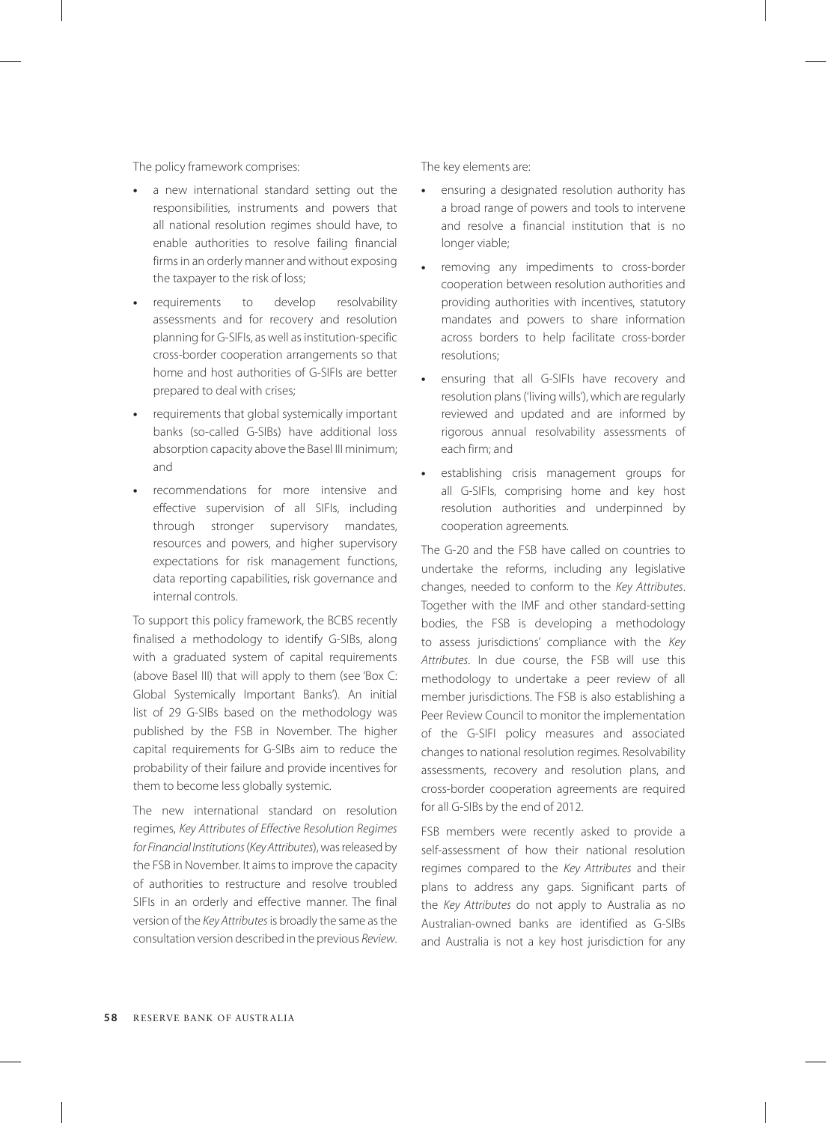The policy framework comprises:

- **•** a new international standard setting out the responsibilities, instruments and powers that all national resolution regimes should have, to enable authorities to resolve failing financial firms in an orderly manner and without exposing the taxpayer to the risk of loss;
- **•** requirements to develop resolvability assessments and for recovery and resolution planning for G-SIFIs, as well as institution-specific cross-border cooperation arrangements so that home and host authorities of G-SIFIs are better prepared to deal with crises;
- **•** requirements that global systemically important banks (so-called G-SIBs) have additional loss absorption capacity above the Basel III minimum; and
- **•** recommendations for more intensive and effective supervision of all SIFIs, including through stronger supervisory mandates, resources and powers, and higher supervisory expectations for risk management functions, data reporting capabilities, risk governance and internal controls.

To support this policy framework, the BCBS recently finalised a methodology to identify G-SIBs, along with a graduated system of capital requirements (above Basel III) that will apply to them (see 'Box C: Global Systemically Important Banks'). An initial list of 29 G-SIBs based on the methodology was published by the FSB in November. The higher capital requirements for G-SIBs aim to reduce the probability of their failure and provide incentives for them to become less globally systemic.

The new international standard on resolution regimes, *Key Attributes of Effective Resolution Regimes for Financial Institutions* (*Key Attributes*), was released by the FSB in November. It aims to improve the capacity of authorities to restructure and resolve troubled SIFIs in an orderly and effective manner. The final version of the *Key Attributes* is broadly the same as the consultation version described in the previous *Review*.

The key elements are:

- **•** ensuring a designated resolution authority has a broad range of powers and tools to intervene and resolve a financial institution that is no longer viable;
- **•** removing any impediments to cross-border cooperation between resolution authorities and providing authorities with incentives, statutory mandates and powers to share information across borders to help facilitate cross-border resolutions;
- **•** ensuring that all G-SIFIs have recovery and resolution plans ('living wills'), which are regularly reviewed and updated and are informed by rigorous annual resolvability assessments of each firm; and
- **•** establishing crisis management groups for all G-SIFIs, comprising home and key host resolution authorities and underpinned by cooperation agreements.

The G-20 and the FSB have called on countries to undertake the reforms, including any legislative changes, needed to conform to the *Key Attributes*. Together with the IMF and other standard-setting bodies, the FSB is developing a methodology to assess jurisdictions' compliance with the *Key Attributes*. In due course, the FSB will use this methodology to undertake a peer review of all member jurisdictions. The FSB is also establishing a Peer Review Council to monitor the implementation of the G-SIFI policy measures and associated changes to national resolution regimes. Resolvability assessments, recovery and resolution plans, and cross-border cooperation agreements are required for all G-SIBs by the end of 2012.

FSB members were recently asked to provide a self-assessment of how their national resolution regimes compared to the *Key Attributes* and their plans to address any gaps. Significant parts of the *Key Attributes* do not apply to Australia as no Australian-owned banks are identified as G-SIBs and Australia is not a key host jurisdiction for any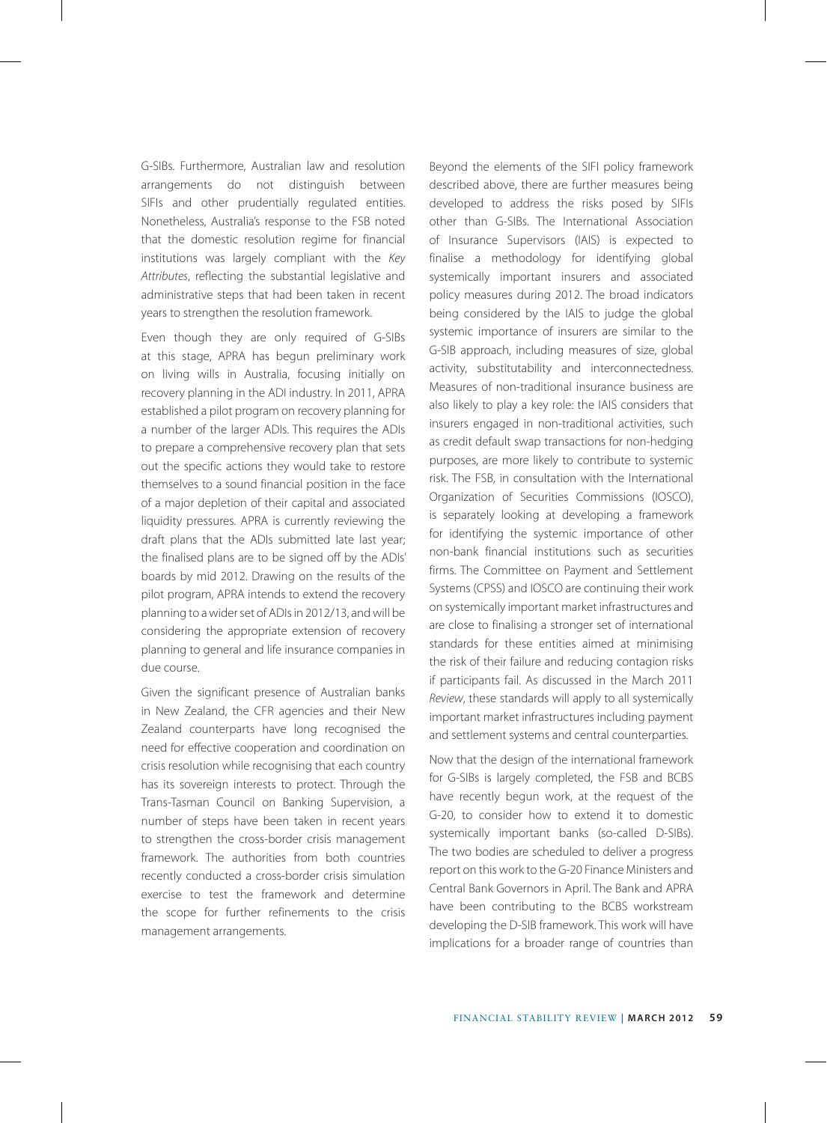G-SIBs. Furthermore, Australian law and resolution arrangements do not distinguish between SIFIs and other prudentially regulated entities. Nonetheless, Australia's response to the FSB noted that the domestic resolution regime for financial institutions was largely compliant with the *Key Attributes*, reflecting the substantial legislative and administrative steps that had been taken in recent years to strengthen the resolution framework.

Even though they are only required of G-SIBs at this stage, APRA has begun preliminary work on living wills in Australia, focusing initially on recovery planning in the ADI industry. In 2011, APRA established a pilot program on recovery planning for a number of the larger ADIs. This requires the ADIs to prepare a comprehensive recovery plan that sets out the specific actions they would take to restore themselves to a sound financial position in the face of a major depletion of their capital and associated liquidity pressures. APRA is currently reviewing the draft plans that the ADIs submitted late last year; the finalised plans are to be signed off by the ADIs' boards by mid 2012. Drawing on the results of the pilot program, APRA intends to extend the recovery planning to a wider set of ADIs in 2012/13, and will be considering the appropriate extension of recovery planning to general and life insurance companies in due course.

Given the significant presence of Australian banks in New Zealand, the CFR agencies and their New Zealand counterparts have long recognised the need for effective cooperation and coordination on crisis resolution while recognising that each country has its sovereign interests to protect. Through the Trans-Tasman Council on Banking Supervision, a number of steps have been taken in recent years to strengthen the cross-border crisis management framework. The authorities from both countries recently conducted a cross-border crisis simulation exercise to test the framework and determine the scope for further refinements to the crisis management arrangements.

Beyond the elements of the SIFI policy framework described above, there are further measures being developed to address the risks posed by SIFIs other than G-SIBs. The International Association of Insurance Supervisors (IAIS) is expected to finalise a methodology for identifying global systemically important insurers and associated policy measures during 2012. The broad indicators being considered by the IAIS to judge the global systemic importance of insurers are similar to the G-SIB approach, including measures of size, global activity, substitutability and interconnectedness. Measures of non-traditional insurance business are also likely to play a key role: the IAIS considers that insurers engaged in non-traditional activities, such as credit default swap transactions for non-hedging purposes, are more likely to contribute to systemic risk. The FSB, in consultation with the International Organization of Securities Commissions (IOSCO), is separately looking at developing a framework for identifying the systemic importance of other non-bank financial institutions such as securities firms. The Committee on Payment and Settlement Systems (CPSS) and IOSCO are continuing their work on systemically important market infrastructures and are close to finalising a stronger set of international standards for these entities aimed at minimising the risk of their failure and reducing contagion risks if participants fail. As discussed in the March 2011 *Review*, these standards will apply to all systemically important market infrastructures including payment and settlement systems and central counterparties.

Now that the design of the international framework for G-SIBs is largely completed, the FSB and BCBS have recently begun work, at the request of the G-20, to consider how to extend it to domestic systemically important banks (so-called D-SIBs). The two bodies are scheduled to deliver a progress report on this work to the G-20 Finance Ministers and Central Bank Governors in April. The Bank and APRA have been contributing to the BCBS workstream developing the D-SIB framework. This work will have implications for a broader range of countries than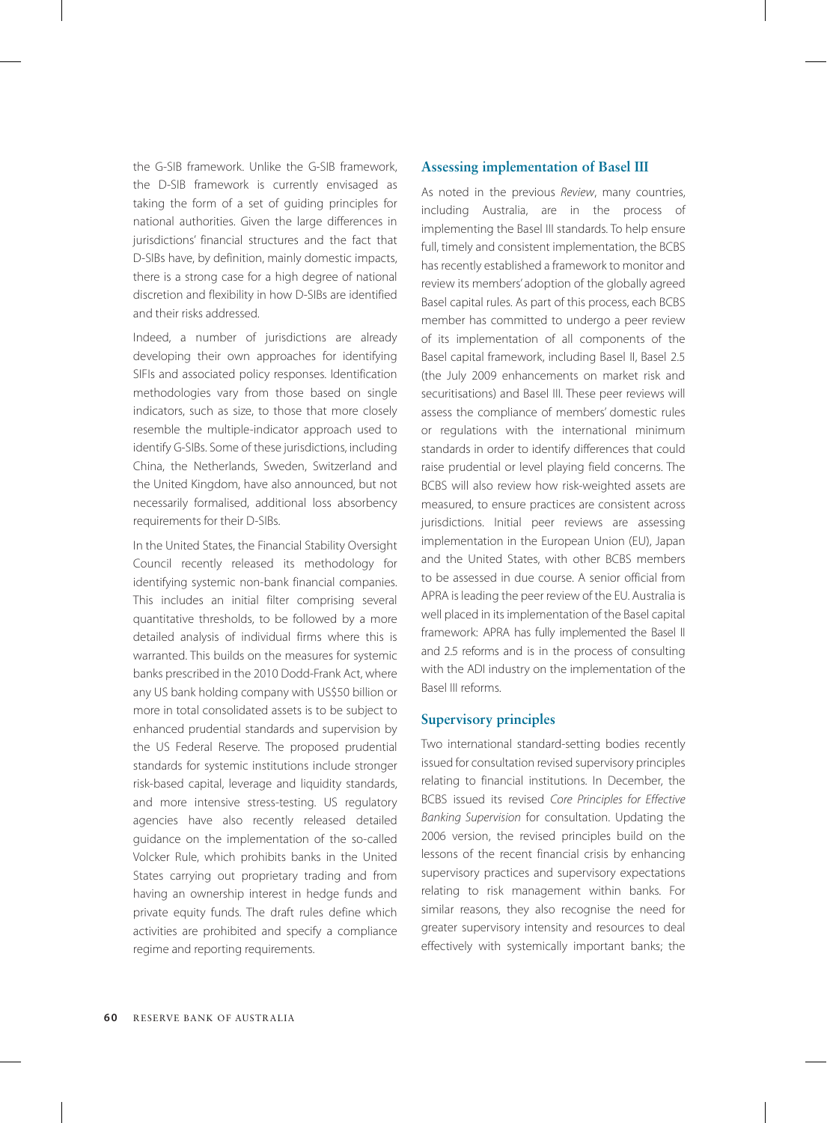the G-SIB framework. Unlike the G-SIB framework, the D-SIB framework is currently envisaged as taking the form of a set of guiding principles for national authorities. Given the large differences in jurisdictions' financial structures and the fact that D-SIBs have, by definition, mainly domestic impacts, there is a strong case for a high degree of national discretion and flexibility in how D-SIBs are identified and their risks addressed.

Indeed, a number of jurisdictions are already developing their own approaches for identifying SIFIs and associated policy responses. Identification methodologies vary from those based on single indicators, such as size, to those that more closely resemble the multiple-indicator approach used to identify G-SIBs. Some of these jurisdictions, including China, the Netherlands, Sweden, Switzerland and the United Kingdom, have also announced, but not necessarily formalised, additional loss absorbency requirements for their D-SIBs.

In the United States, the Financial Stability Oversight Council recently released its methodology for identifying systemic non-bank financial companies. This includes an initial filter comprising several quantitative thresholds, to be followed by a more detailed analysis of individual firms where this is warranted. This builds on the measures for systemic banks prescribed in the 2010 Dodd-Frank Act, where any US bank holding company with US\$50 billion or more in total consolidated assets is to be subject to enhanced prudential standards and supervision by the US Federal Reserve. The proposed prudential standards for systemic institutions include stronger risk-based capital, leverage and liquidity standards, and more intensive stress-testing. US regulatory agencies have also recently released detailed guidance on the implementation of the so-called Volcker Rule, which prohibits banks in the United States carrying out proprietary trading and from having an ownership interest in hedge funds and private equity funds. The draft rules define which activities are prohibited and specify a compliance regime and reporting requirements.

#### **Assessing implementation of Basel III**

As noted in the previous *Review*, many countries, including Australia, are in the process of implementing the Basel III standards. To help ensure full, timely and consistent implementation, the BCBS has recently established a framework to monitor and review its members' adoption of the globally agreed Basel capital rules. As part of this process, each BCBS member has committed to undergo a peer review of its implementation of all components of the Basel capital framework, including Basel II, Basel 2.5 (the July 2009 enhancements on market risk and securitisations) and Basel III. These peer reviews will assess the compliance of members' domestic rules or regulations with the international minimum standards in order to identify differences that could raise prudential or level playing field concerns. The BCBS will also review how risk-weighted assets are measured, to ensure practices are consistent across jurisdictions. Initial peer reviews are assessing implementation in the European Union (EU), Japan and the United States, with other BCBS members to be assessed in due course. A senior official from APRA is leading the peer review of the EU. Australia is well placed in its implementation of the Basel capital framework: APRA has fully implemented the Basel II and 2.5 reforms and is in the process of consulting with the ADI industry on the implementation of the Basel III reforms.

## **Supervisory principles**

Two international standard-setting bodies recently issued for consultation revised supervisory principles relating to financial institutions. In December, the BCBS issued its revised *Core Principles for Effective Banking Supervision* for consultation. Updating the 2006 version, the revised principles build on the lessons of the recent financial crisis by enhancing supervisory practices and supervisory expectations relating to risk management within banks. For similar reasons, they also recognise the need for greater supervisory intensity and resources to deal effectively with systemically important banks; the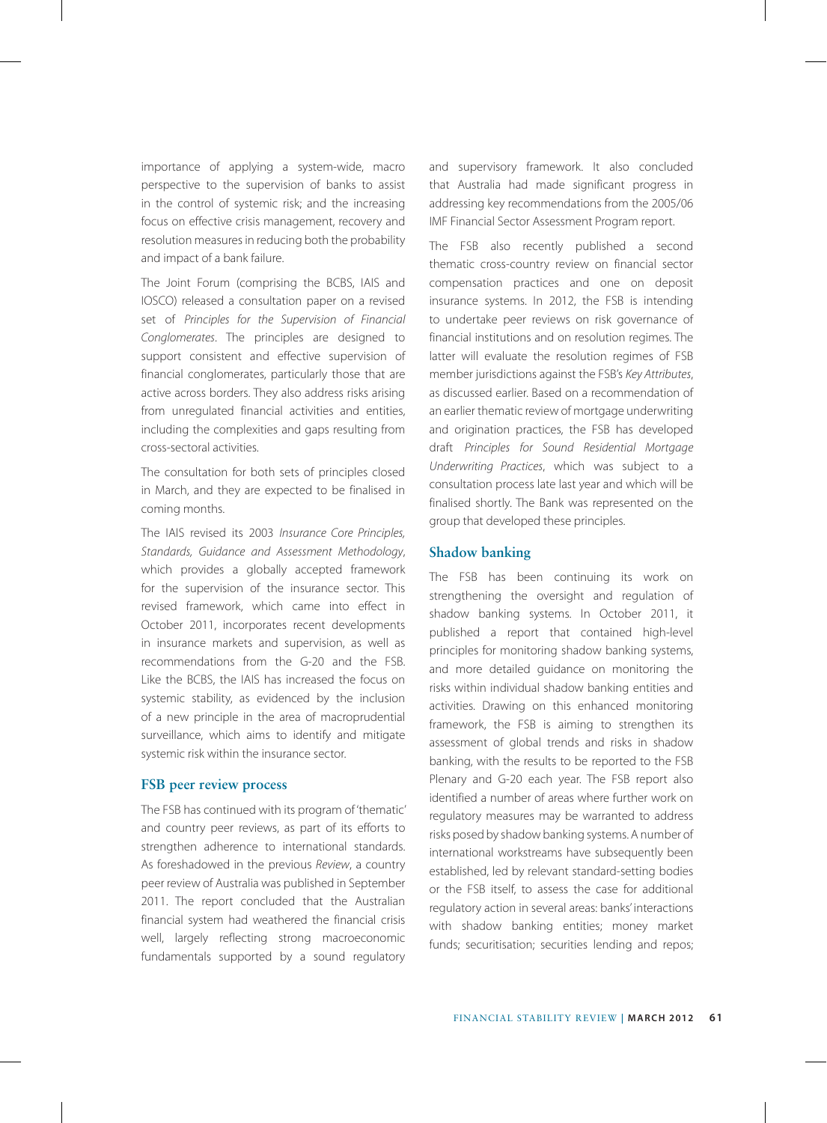importance of applying a system-wide, macro perspective to the supervision of banks to assist in the control of systemic risk; and the increasing focus on effective crisis management, recovery and resolution measures in reducing both the probability and impact of a bank failure.

The Joint Forum (comprising the BCBS, IAIS and IOSCO) released a consultation paper on a revised set of *Principles for the Supervision of Financial Conglomerates*. The principles are designed to support consistent and effective supervision of financial conglomerates, particularly those that are active across borders. They also address risks arising from unregulated financial activities and entities, including the complexities and gaps resulting from cross-sectoral activities.

The consultation for both sets of principles closed in March, and they are expected to be finalised in coming months.

The IAIS revised its 2003 *Insurance Core Principles, Standards, Guidance and Assessment Methodology*, which provides a globally accepted framework for the supervision of the insurance sector. This revised framework, which came into effect in October 2011, incorporates recent developments in insurance markets and supervision, as well as recommendations from the G-20 and the FSB. Like the BCBS, the IAIS has increased the focus on systemic stability, as evidenced by the inclusion of a new principle in the area of macroprudential surveillance, which aims to identify and mitigate systemic risk within the insurance sector.

#### **FSB peer review process**

The FSB has continued with its program of 'thematic' and country peer reviews, as part of its efforts to strengthen adherence to international standards. As foreshadowed in the previous *Review*, a country peer review of Australia was published in September 2011. The report concluded that the Australian financial system had weathered the financial crisis well, largely reflecting strong macroeconomic fundamentals supported by a sound regulatory

and supervisory framework. It also concluded that Australia had made significant progress in addressing key recommendations from the 2005/06 IMF Financial Sector Assessment Program report.

The FSB also recently published a second thematic cross-country review on financial sector compensation practices and one on deposit insurance systems. In 2012, the FSB is intending to undertake peer reviews on risk governance of financial institutions and on resolution regimes. The latter will evaluate the resolution regimes of FSB member jurisdictions against the FSB's *Key Attributes*, as discussed earlier. Based on a recommendation of an earlier thematic review of mortgage underwriting and origination practices, the FSB has developed draft *Principles for Sound Residential Mortgage Underwriting Practices*, which was subject to a consultation process late last year and which will be finalised shortly. The Bank was represented on the group that developed these principles.

### **Shadow banking**

The FSB has been continuing its work on strengthening the oversight and regulation of shadow banking systems. In October 2011, it published a report that contained high-level principles for monitoring shadow banking systems, and more detailed guidance on monitoring the risks within individual shadow banking entities and activities. Drawing on this enhanced monitoring framework, the FSB is aiming to strengthen its assessment of global trends and risks in shadow banking, with the results to be reported to the FSB Plenary and G-20 each year. The FSB report also identified a number of areas where further work on regulatory measures may be warranted to address risks posed by shadow banking systems. A number of international workstreams have subsequently been established, led by relevant standard-setting bodies or the FSB itself, to assess the case for additional regulatory action in several areas: banks' interactions with shadow banking entities; money market funds; securitisation; securities lending and repos;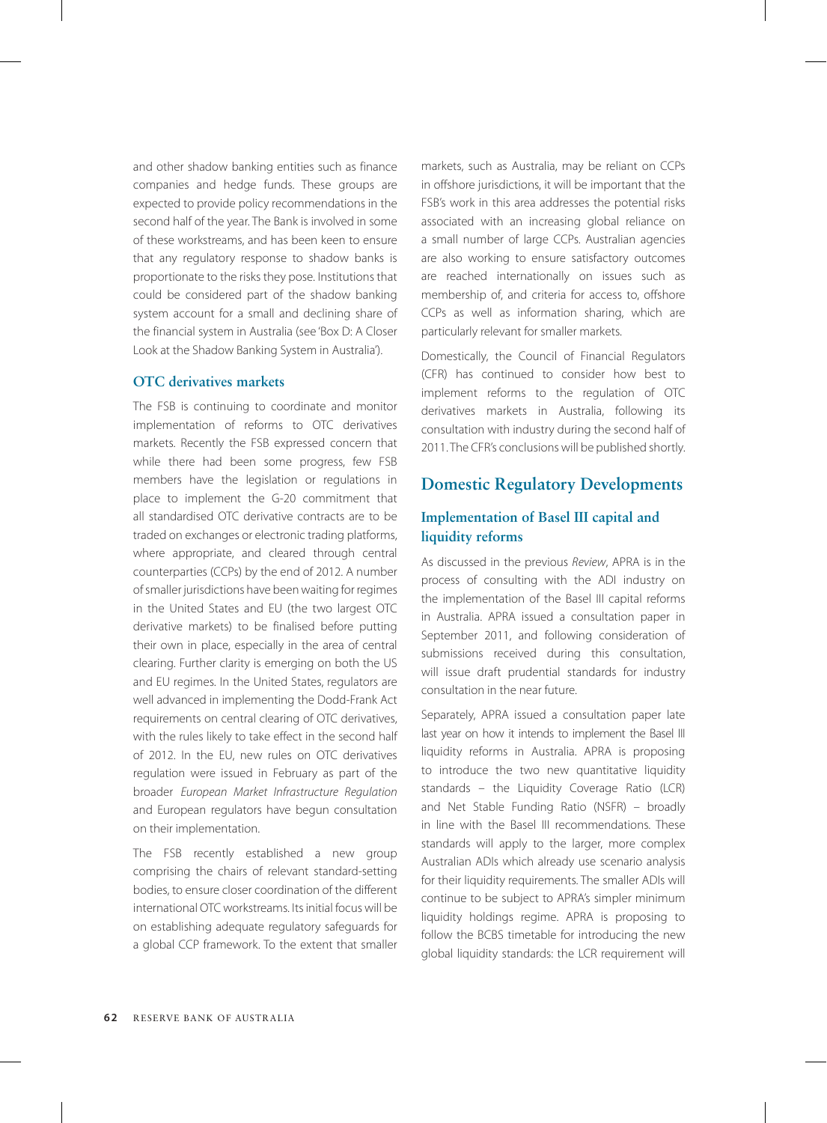and other shadow banking entities such as finance companies and hedge funds. These groups are expected to provide policy recommendations in the second half of the year. The Bank is involved in some of these workstreams, and has been keen to ensure that any regulatory response to shadow banks is proportionate to the risks they pose. Institutions that could be considered part of the shadow banking system account for a small and declining share of the financial system in Australia (see 'Box D: A Closer Look at the Shadow Banking System in Australia').

## **OTC derivatives markets**

The FSB is continuing to coordinate and monitor implementation of reforms to OTC derivatives markets. Recently the FSB expressed concern that while there had been some progress, few FSB members have the legislation or regulations in place to implement the G-20 commitment that all standardised OTC derivative contracts are to be traded on exchanges or electronic trading platforms, where appropriate, and cleared through central counterparties (CCPs) by the end of 2012. A number of smaller jurisdictions have been waiting for regimes in the United States and EU (the two largest OTC derivative markets) to be finalised before putting their own in place, especially in the area of central clearing. Further clarity is emerging on both the US and EU regimes. In the United States, regulators are well advanced in implementing the Dodd-Frank Act requirements on central clearing of OTC derivatives, with the rules likely to take effect in the second half of 2012. In the EU, new rules on OTC derivatives regulation were issued in February as part of the broader *European Market Infrastructure Regulation*  and European regulators have begun consultation on their implementation.

The FSB recently established a new group comprising the chairs of relevant standard-setting bodies, to ensure closer coordination of the different international OTC workstreams. Its initial focus will be on establishing adequate regulatory safeguards for a global CCP framework. To the extent that smaller markets, such as Australia, may be reliant on CCPs in offshore jurisdictions, it will be important that the FSB's work in this area addresses the potential risks associated with an increasing global reliance on a small number of large CCPs. Australian agencies are also working to ensure satisfactory outcomes are reached internationally on issues such as membership of, and criteria for access to, offshore CCPs as well as information sharing, which are particularly relevant for smaller markets.

Domestically, the Council of Financial Regulators (CFR) has continued to consider how best to implement reforms to the regulation of OTC derivatives markets in Australia, following its consultation with industry during the second half of 2011. The CFR's conclusions will be published shortly.

## **Domestic Regulatory Developments**

## **Implementation of Basel III capital and liquidity reforms**

As discussed in the previous *Review*, APRA is in the process of consulting with the ADI industry on the implementation of the Basel III capital reforms in Australia. APRA issued a consultation paper in September 2011, and following consideration of submissions received during this consultation, will issue draft prudential standards for industry consultation in the near future.

Separately, APRA issued a consultation paper late last year on how it intends to implement the Basel III liquidity reforms in Australia. APRA is proposing to introduce the two new quantitative liquidity standards – the Liquidity Coverage Ratio (LCR) and Net Stable Funding Ratio (NSFR) – broadly in line with the Basel III recommendations. These standards will apply to the larger, more complex Australian ADIs which already use scenario analysis for their liquidity requirements. The smaller ADIs will continue to be subject to APRA's simpler minimum liquidity holdings regime. APRA is proposing to follow the BCBS timetable for introducing the new global liquidity standards: the LCR requirement will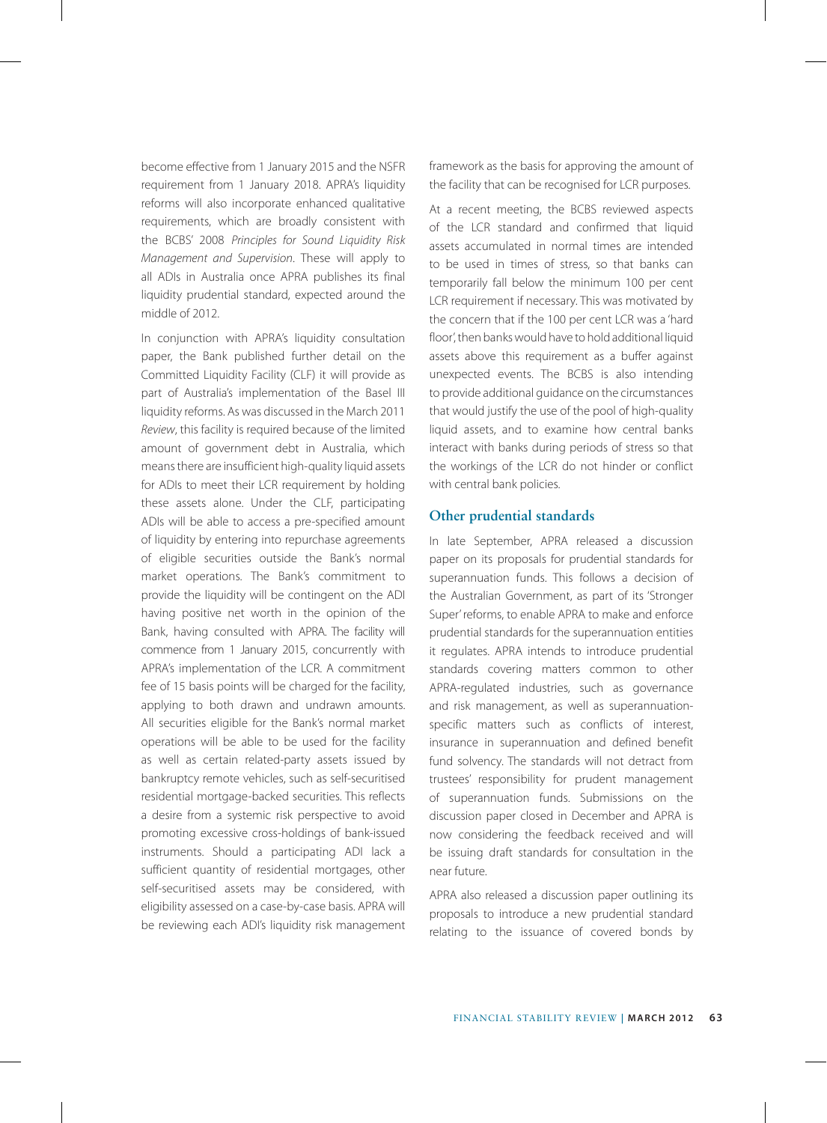become effective from 1 January 2015 and the NSFR requirement from 1 January 2018. APRA's liquidity reforms will also incorporate enhanced qualitative requirements, which are broadly consistent with the BCBS' 2008 *Principles for Sound Liquidity Risk Management and Supervision*. These will apply to all ADIs in Australia once APRA publishes its final liquidity prudential standard, expected around the middle of 2012.

In conjunction with APRA's liquidity consultation paper, the Bank published further detail on the Committed Liquidity Facility (CLF) it will provide as part of Australia's implementation of the Basel III liquidity reforms. As was discussed in the March 2011 *Review*, this facility is required because of the limited amount of government debt in Australia, which means there are insufficient high-quality liquid assets for ADIs to meet their LCR requirement by holding these assets alone. Under the CLF, participating ADIs will be able to access a pre-specified amount of liquidity by entering into repurchase agreements of eligible securities outside the Bank's normal market operations. The Bank's commitment to provide the liquidity will be contingent on the ADI having positive net worth in the opinion of the Bank, having consulted with APRA. The facility will commence from 1 January 2015, concurrently with APRA's implementation of the LCR. A commitment fee of 15 basis points will be charged for the facility, applying to both drawn and undrawn amounts. All securities eligible for the Bank's normal market operations will be able to be used for the facility as well as certain related-party assets issued by bankruptcy remote vehicles, such as self-securitised residential mortgage-backed securities. This reflects a desire from a systemic risk perspective to avoid promoting excessive cross-holdings of bank-issued instruments. Should a participating ADI lack a sufficient quantity of residential mortgages, other self-securitised assets may be considered, with eligibility assessed on a case-by-case basis. APRA will be reviewing each ADI's liquidity risk management framework as the basis for approving the amount of the facility that can be recognised for LCR purposes.

At a recent meeting, the BCBS reviewed aspects of the LCR standard and confirmed that liquid assets accumulated in normal times are intended to be used in times of stress, so that banks can temporarily fall below the minimum 100 per cent LCR requirement if necessary. This was motivated by the concern that if the 100 per cent LCR was a 'hard floor', then banks would have to hold additional liquid assets above this requirement as a buffer against unexpected events. The BCBS is also intending to provide additional guidance on the circumstances that would justify the use of the pool of high-quality liquid assets, and to examine how central banks interact with banks during periods of stress so that the workings of the LCR do not hinder or conflict with central bank policies.

#### **Other prudential standards**

In late September, APRA released a discussion paper on its proposals for prudential standards for superannuation funds. This follows a decision of the Australian Government, as part of its 'Stronger Super' reforms, to enable APRA to make and enforce prudential standards for the superannuation entities it regulates. APRA intends to introduce prudential standards covering matters common to other APRA-regulated industries, such as governance and risk management, as well as superannuationspecific matters such as conflicts of interest, insurance in superannuation and defined benefit fund solvency. The standards will not detract from trustees' responsibility for prudent management of superannuation funds. Submissions on the discussion paper closed in December and APRA is now considering the feedback received and will be issuing draft standards for consultation in the near future.

APRA also released a discussion paper outlining its proposals to introduce a new prudential standard relating to the issuance of covered bonds by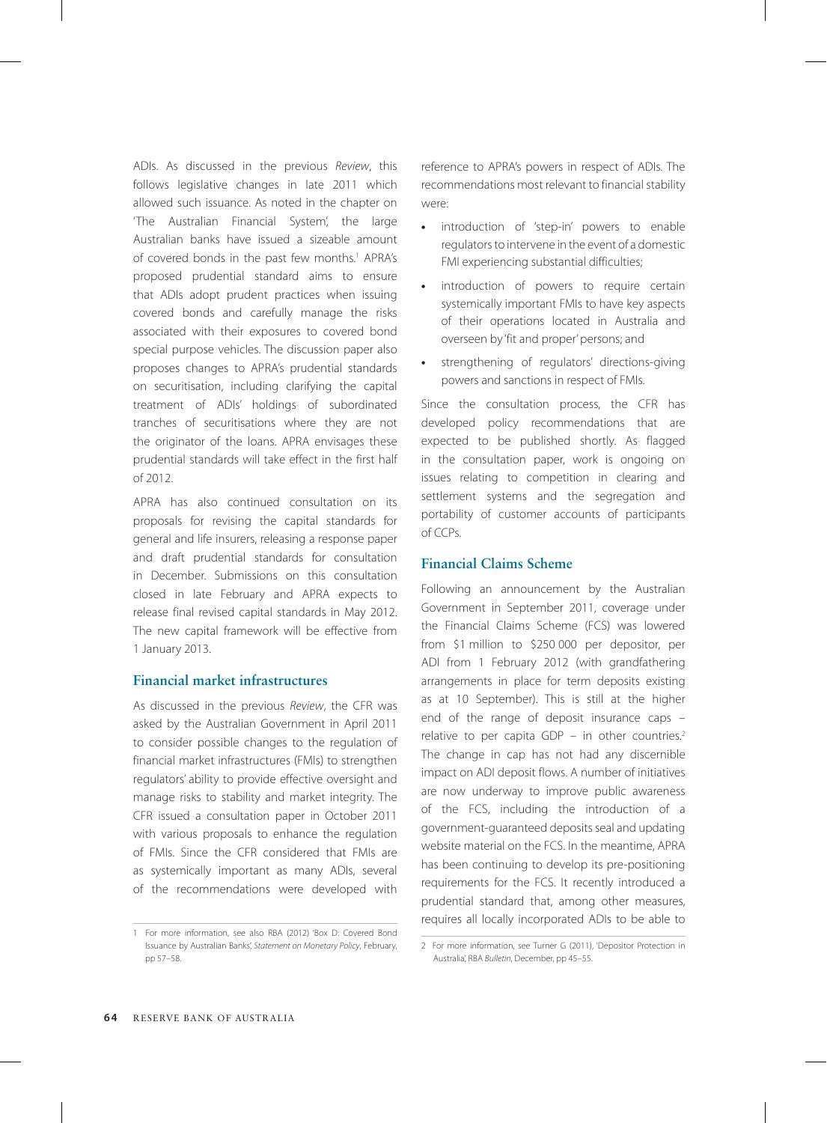ADIs. As discussed in the previous *Review*, this follows legislative changes in late 2011 which allowed such issuance. As noted in the chapter on 'The Australian Financial System', the large Australian banks have issued a sizeable amount of covered bonds in the past few months.<sup>1</sup> APRA's proposed prudential standard aims to ensure that ADIs adopt prudent practices when issuing covered bonds and carefully manage the risks associated with their exposures to covered bond special purpose vehicles. The discussion paper also proposes changes to APRA's prudential standards on securitisation, including clarifying the capital treatment of ADIs' holdings of subordinated tranches of securitisations where they are not the originator of the loans. APRA envisages these prudential standards will take effect in the first half of 2012.

APRA has also continued consultation on its proposals for revising the capital standards for general and life insurers, releasing a response paper and draft prudential standards for consultation in December. Submissions on this consultation closed in late February and APRA expects to release final revised capital standards in May 2012. The new capital framework will be effective from 1 January 2013.

#### **Financial market infrastructures**

As discussed in the previous *Review*, the CFR was asked by the Australian Government in April 2011 to consider possible changes to the regulation of financial market infrastructures (FMIs) to strengthen regulators' ability to provide effective oversight and manage risks to stability and market integrity. The CFR issued a consultation paper in October 2011 with various proposals to enhance the regulation of FMIs. Since the CFR considered that FMIs are as systemically important as many ADIs, several of the recommendations were developed with reference to APRA's powers in respect of ADIs. The recommendations most relevant to financial stability were:

- **•** introduction of 'step-in' powers to enable regulators to intervene in the event of a domestic FMI experiencing substantial difficulties;
- **•** introduction of powers to require certain systemically important FMIs to have key aspects of their operations located in Australia and overseen by 'fit and proper' persons; and
- **•** strengthening of regulators' directions-giving powers and sanctions in respect of FMIs.

Since the consultation process, the CFR has developed policy recommendations that are expected to be published shortly. As flagged in the consultation paper, work is ongoing on issues relating to competition in clearing and settlement systems and the segregation and portability of customer accounts of participants of CCPs.

### **Financial Claims Scheme**

Following an announcement by the Australian Government in September 2011, coverage under the Financial Claims Scheme (FCS) was lowered from \$1 million to \$250 000 per depositor, per ADI from 1 February 2012 (with grandfathering arrangements in place for term deposits existing as at 10 September). This is still at the higher end of the range of deposit insurance caps – relative to per capita GDP – in other countries.<sup>2</sup> The change in cap has not had any discernible impact on ADI deposit flows. A number of initiatives are now underway to improve public awareness of the FCS, including the introduction of a government-guaranteed deposits seal and updating website material on the FCS. In the meantime, APRA has been continuing to develop its pre-positioning requirements for the FCS. It recently introduced a prudential standard that, among other measures, requires all locally incorporated ADIs to be able to

<sup>1</sup> For more information, see also RBA (2012) 'Box D: Covered Bond Issuance by Australian Banks', *Statement on Monetary Policy*, February, pp 57–58.

<sup>2</sup> For more information, see Turner G (2011), 'Depositor Protection in Australia', RBA *Bulletin*, December, pp 45–55.